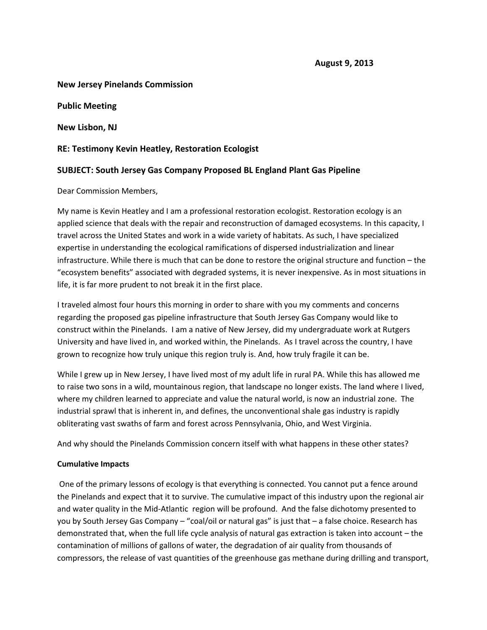#### **New Jersey Pinelands Commission**

**Public Meeting**

**New Lisbon, NJ**

### **RE: Testimony Kevin Heatley, Restoration Ecologist**

## **SUBJECT: South Jersey Gas Company Proposed BL England Plant Gas Pipeline**

Dear Commission Members,

My name is Kevin Heatley and I am a professional restoration ecologist. Restoration ecology is an applied science that deals with the repair and reconstruction of damaged ecosystems. In this capacity, I travel across the United States and work in a wide variety of habitats. As such, I have specialized expertise in understanding the ecological ramifications of dispersed industrialization and linear infrastructure. While there is much that can be done to restore the original structure and function – the "ecosystem benefits" associated with degraded systems, it is never inexpensive. As in most situations in life, it is far more prudent to not break it in the first place.

I traveled almost four hours this morning in order to share with you my comments and concerns regarding the proposed gas pipeline infrastructure that South Jersey Gas Company would like to construct within the Pinelands. I am a native of New Jersey, did my undergraduate work at Rutgers University and have lived in, and worked within, the Pinelands. As I travel across the country, I have grown to recognize how truly unique this region truly is. And, how truly fragile it can be.

While I grew up in New Jersey, I have lived most of my adult life in rural PA. While this has allowed me to raise two sons in a wild, mountainous region, that landscape no longer exists. The land where I lived, where my children learned to appreciate and value the natural world, is now an industrial zone. The industrial sprawl that is inherent in, and defines, the unconventional shale gas industry is rapidly obliterating vast swaths of farm and forest across Pennsylvania, Ohio, and West Virginia.

And why should the Pinelands Commission concern itself with what happens in these other states?

### **Cumulative Impacts**

One of the primary lessons of ecology is that everything is connected. You cannot put a fence around the Pinelands and expect that it to survive. The cumulative impact of this industry upon the regional air and water quality in the Mid-Atlantic region will be profound. And the false dichotomy presented to you by South Jersey Gas Company – "coal/oil or natural gas" is just that – a false choice. Research has demonstrated that, when the full life cycle analysis of natural gas extraction is taken into account – the contamination of millions of gallons of water, the degradation of air quality from thousands of compressors, the release of vast quantities of the greenhouse gas methane during drilling and transport,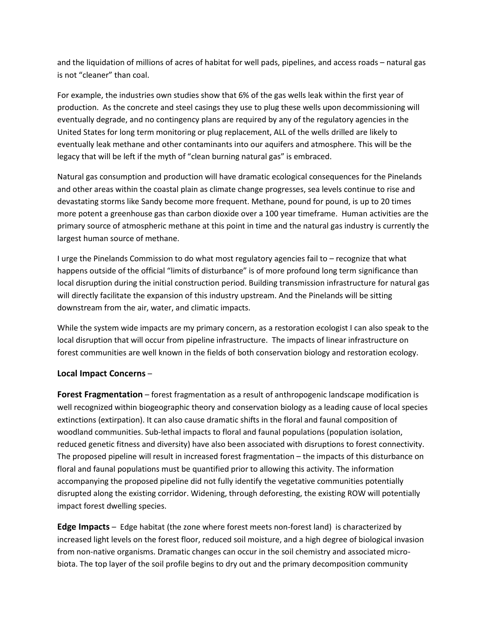and the liquidation of millions of acres of habitat for well pads, pipelines, and access roads – natural gas is not "cleaner" than coal.

For example, the industries own studies show that 6% of the gas wells leak within the first year of production. As the concrete and steel casings they use to plug these wells upon decommissioning will eventually degrade, and no contingency plans are required by any of the regulatory agencies in the United States for long term monitoring or plug replacement, ALL of the wells drilled are likely to eventually leak methane and other contaminants into our aquifers and atmosphere. This will be the legacy that will be left if the myth of "clean burning natural gas" is embraced.

Natural gas consumption and production will have dramatic ecological consequences for the Pinelands and other areas within the coastal plain as climate change progresses, sea levels continue to rise and devastating storms like Sandy become more frequent. Methane, pound for pound, is up to 20 times more potent a greenhouse gas than carbon dioxide over a 100 year timeframe. Human activities are the primary source of atmospheric methane at this point in time and the natural gas industry is currently the largest human source of methane.

I urge the Pinelands Commission to do what most regulatory agencies fail to – recognize that what happens outside of the official "limits of disturbance" is of more profound long term significance than local disruption during the initial construction period. Building transmission infrastructure for natural gas will directly facilitate the expansion of this industry upstream. And the Pinelands will be sitting downstream from the air, water, and climatic impacts.

While the system wide impacts are my primary concern, as a restoration ecologist I can also speak to the local disruption that will occur from pipeline infrastructure. The impacts of linear infrastructure on forest communities are well known in the fields of both conservation biology and restoration ecology.

# **Local Impact Concerns** –

**Forest Fragmentation** – forest fragmentation as a result of anthropogenic landscape modification is well recognized within biogeographic theory and conservation biology as a leading cause of local species extinctions (extirpation). It can also cause dramatic shifts in the floral and faunal composition of woodland communities. Sub-lethal impacts to floral and faunal populations (population isolation, reduced genetic fitness and diversity) have also been associated with disruptions to forest connectivity. The proposed pipeline will result in increased forest fragmentation – the impacts of this disturbance on floral and faunal populations must be quantified prior to allowing this activity. The information accompanying the proposed pipeline did not fully identify the vegetative communities potentially disrupted along the existing corridor. Widening, through deforesting, the existing ROW will potentially impact forest dwelling species.

**Edge Impacts** – Edge habitat (the zone where forest meets non-forest land) is characterized by increased light levels on the forest floor, reduced soil moisture, and a high degree of biological invasion from non-native organisms. Dramatic changes can occur in the soil chemistry and associated microbiota. The top layer of the soil profile begins to dry out and the primary decomposition community